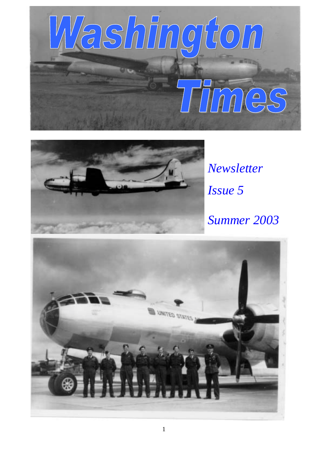



*Newsletter Issue 5 Summer 2003* 

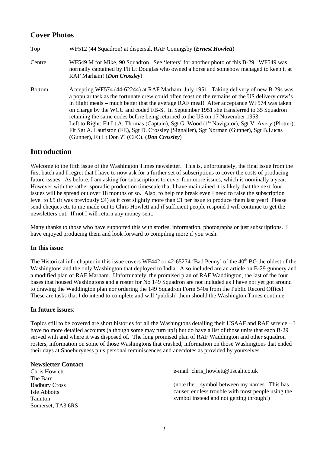# **Cover Photos**

| Top           | WF512 (44 Squadron) at dispersal, RAF Coningsby ( <i>Ernest Howlett</i> )                                                                                                                                                                                                                                                                                                                                                                                                                                                                                                                                                                                                                                                   |
|---------------|-----------------------------------------------------------------------------------------------------------------------------------------------------------------------------------------------------------------------------------------------------------------------------------------------------------------------------------------------------------------------------------------------------------------------------------------------------------------------------------------------------------------------------------------------------------------------------------------------------------------------------------------------------------------------------------------------------------------------------|
| Centre        | WF549 M for Mike, 90 Squadron. See 'letters' for another photo of this B-29. WF549 was<br>normally captained by Flt Lt Douglas who owned a horse and somehow managed to keep it at<br>RAF Marham! (Don Crossley)                                                                                                                                                                                                                                                                                                                                                                                                                                                                                                            |
| <b>Bottom</b> | Accepting WF574 (44-62244) at RAF Marham, July 1951. Taking delivery of new B-29s was<br>a popular task as the fortunate crew could often feast on the remains of the US delivery crew's<br>in flight meals – much better that the average RAF meal! After acceptance WF574 was taken<br>on charge by the WCU and coded FB-S. In September 1951 she transferred to 35 Squadron<br>retaining the same codes before being returned to the US on 17 November 1953.<br>Left to Right: Flt Lt A. Thomas (Captain), Sgt G. Wood (1 <sup>st</sup> Navigator), Sgt V. Avery (Plotter),<br>Flt Sgt A. Lauriston (FE), Sgt D. Crossley (Signaller), Sgt Norman (Gunner), Sgt B.Lucas<br>(Gunner), Flt Lt Don ?? (CFC). (Don Crossley) |

## **Introduction**

Welcome to the fifth issue of the Washington Times newsletter. This is, unfortunately, the final issue from the first batch and I regret that I have to now ask for a further set of subscriptions to cover the costs of producing future issues. As before, I am asking for subscriptions to cover four more issues, which is nominally a year. However with the rather sporadic production timescale that I have maintained it is likely that the next four issues will be spread out over 18 months or so. Also, to help me break even I need to raise the subscription level to £5 (it was previously £4) as it cost slightly more than £1 per issue to produce them last year! Please send cheques etc to me made out to Chris Howlett and if sufficient people respond I will continue to get the newsletters out. If not I will return any money sent.

Many thanks to those who have supported this with stories, information, photographs or just subscriptions. I have enjoyed producing them and look forward to compiling more if you wish.

## **In this issue**:

The Historical info chapter in this issue covers WF442 or 42-65274 'Bad Penny' of the 40<sup>th</sup> BG the oldest of the Washingtons and the only Washington that deployed to India. Also included are an article on B-29 gunnery and a modified plan of RAF Marham. Unfortunately, the promised plan of RAF Waddington, the last of the four bases that housed Washingtons and a roster for No 149 Squadron are not included as I have not yet got around to drawing the Waddington plan nor ordering the 149 Squadron Form 540s from the Public Record Office! These are tasks that I do intend to complete and will 'publish' them should the Washington Times continue.

### **In future issues**:

Topics still to be covered are short histories for all the Washingtons detailing their USAAF and RAF service – I have no more detailed accounts (although some may turn up!) but do have a list of those units that each B-29 served with and where it was disposed of. The long promised plan of RAF Waddington and other squadron rosters, information on some of those Washingtons that crashed, information on those Washingtons that ended their days at Shoeburyness plus personal reminiscences and anecdotes as provided by yourselves.

### **Newsletter Contact**

Chris Howlett The Barn Badbury Cross Isle Abbotts Taunton Somerset, TA3 6RS e-mail chris\_howlett@tiscali.co.uk (note the \_ symbol between my names. This has caused endless trouble with most people using the – symbol instead and not getting through!)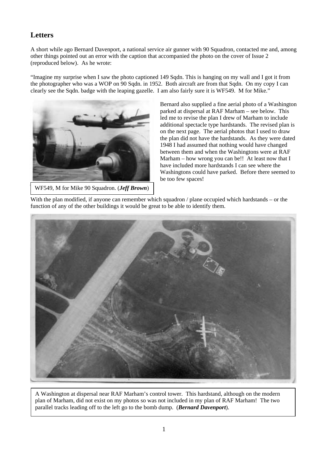# **Letters**

A short while ago Bernard Davenport, a national service air gunner with 90 Squadron, contacted me and, among other things pointed out an error with the caption that accompanied the photo on the cover of Issue 2 (reproduced below). As he wrote:

"Imagine my surprise when I saw the photo captioned 149 Sqdn. This is hanging on my wall and I got it from the photographer who was a WOP on 90 Sqdn. in 1952. Both aircraft are from that Sqdn. On my copy I can clearly see the Sqdn. badge with the leaping gazelle. I am also fairly sure it is WF549. M for Mike."



WF549, M for Mike 90 Squadron. (*Jeff Brown*)

Bernard also supplied a fine aerial photo of a Washington parked at dispersal at RAF Marham – see below. This led me to revise the plan I drew of Marham to include additional spectacle type hardstands. The revised plan is on the next page. The aerial photos that I used to draw the plan did not have the hardstands. As they were dated 1948 I had assumed that nothing would have changed between them and when the Washingtons were at RAF Marham – how wrong you can be!! At least now that I have included more hardstands I can see where the Washingtons could have parked. Before there seemed to be too few spaces!

With the plan modified, if anyone can remember which squadron / plane occupied which hardstands – or the function of any of the other buildings it would be great to be able to identify them.



A Washington at dispersal near RAF Marham's control tower. This hardstand, although on the modern plan of Marham, did not exist on my photos so was not included in my plan of RAF Marham! The two parallel tracks leading off to the left go to the bomb dump. (*Bernard Davenport*).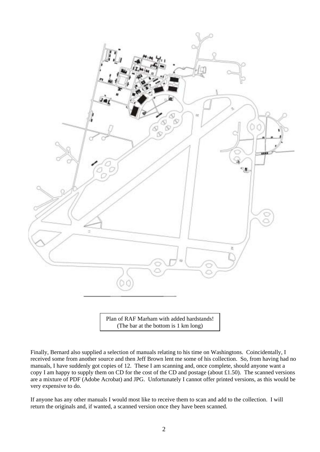![](_page_3_Picture_0.jpeg)

Plan of RAF Marham with added hardstands! (The bar at the bottom is 1 km long)

Finally, Bernard also supplied a selection of manuals relating to his time on Washingtons. Coincidentally, I received some from another source and then Jeff Brown lent me some of his collection. So, from having had no manuals, I have suddenly got copies of 12. These I am scanning and, once complete, should anyone want a copy I am happy to supply them on CD for the cost of the CD and postage (about £1.50). The scanned versions are a mixture of PDF (Adobe Acrobat) and JPG. Unfortunately I cannot offer printed versions, as this would be very expensive to do.

If anyone has any other manuals I would most like to receive them to scan and add to the collection. I will return the originals and, if wanted, a scanned version once they have been scanned.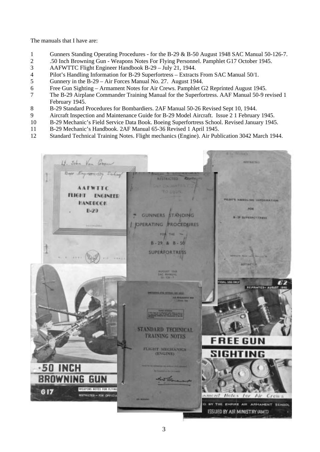The manuals that I have are:

- 1 Gunners Standing Operating Procedures for the B-29 & B-50 August 1948 SAC Manual 50-126-7.
- 2 .50 Inch Browning Gun Weapons Notes For Flying Personnel. Pamphlet G17 October 1945.
- 3 AAFWTTC Flight Engineer Handbook B-29 July 21, 1944.
- 4 Pilot's Handling Information for B-29 Superfortress Extracts From SAC Manual 50/1.<br>5 Gunnery in the B-29 Air Forces Manual No. 27. August 1944.
- 5 Gunnery in the B-29 Air Forces Manual No. 27. August 1944.
- 6 Free Gun Sighting Armament Notes for Air Crews. Pamphlet G2 Reprinted August 1945.
- 7 The B-29 Airplane Commander Training Manual for the Superfortress. AAF Manual 50-9 revised 1 February 1945.
- 8 B-29 Standard Procedures for Bombardiers. 2AF Manual 50-26 Revised Sept 10, 1944.
- 9 Aircraft Inspection and Maintenance Guide for B-29 Model Aircraft. Issue 2 1 February 1945.
- 10 B-29 Mechanic's Field Service Data Book. Boeing Superfortress School. Revised January 1945.
- 11 B-29 Mechanic's Handbook. 2AF Manual 65-36 Revised 1 April 1945.
- 12 Standard Technical Training Notes. Flight mechanics (Engine). Air Publication 3042 March 1944.

![](_page_4_Picture_13.jpeg)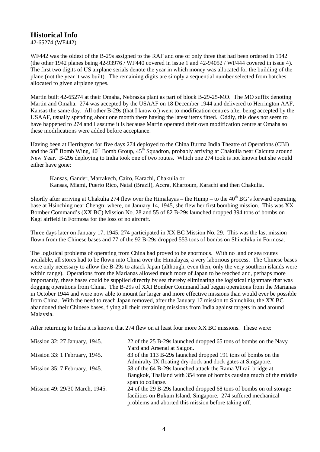# **Historical Info**

42-65274 (WF442)

WF442 was the oldest of the B-29s assigned to the RAF and one of only three that had been ordered in 1942 (the other 1942 planes being 42-93976 / WF440 covered in issue 1 and 42-94052 / WF444 covered in issue 4). The first two digits of US airplane serials denote the year in which money was allocated for the building of the plane (not the year it was built). The remaining digits are simply a sequential number selected from batches allocated to given airplane types.

Martin built 42-65274 at their Omaha, Nebraska plant as part of block B-29-25-MO. The MO suffix denoting Martin and Omaha. 274 was accepted by the USAAF on 18 December 1944 and delivered to Herrington AAF, Kansas the same day. All other B-29s (that I know of) went to modification centres after being accepted by the USAAF, usually spending about one month there having the latest items fitted. Oddly, this does not seem to have happened to 274 and I assume it is because Martin operated their own modification centre at Omaha so these modifications were added before acceptance.

Having been at Herrington for five days 274 deployed to the China Burma India Theatre of Operations (CBI) and the 58<sup>th</sup> Bomb Wing, 40<sup>th</sup> Bomb Group, 45<sup>th</sup> Squadron, probably arriving at Chakulia near Calcutta around New Year. B-29s deploying to India took one of two routes. Which one 274 took is not known but she would either have gone:

 Kansas, Gander, Marrakech, Cairo, Karachi, Chakulia or Kansas, Miami, Puerto Rico, Natal (Brazil), Accra, Khartoum, Karachi and then Chakulia.

Shortly after arriving at Chakulia 274 flew over the Himalayas – the Hump – to the  $40^{th}$  BG's forward operating base at Hsinching near Chengtu where, on January 14, 1945, she flew her first bombing mission. This was XX Bomber Command's (XX BC) Mission No. 28 and 55 of 82 B-29s launched dropped 394 tons of bombs on Kagi airfield in Formosa for the loss of no aircraft.

Three days later on January 17, 1945, 274 participated in XX BC Mission No. 29. This was the last mission flown from the Chinese bases and 77 of the 92 B-29s dropped 553 tons of bombs on Shinchiku in Formosa.

The logistical problems of operating from China had proved to be enormous. With no land or sea routes available, all stores had to be flown into China over the Himalayas, a very laborious process. The Chinese bases were only necessary to allow the B-29s to attack Japan (although, even then, only the very southern islands were within range). Operations from the Marianas allowed much more of Japan to be reached and, perhaps more importantly, these bases could be supplied directly by sea thereby eliminating the logistical nightmare that was dogging operations from China. The B-29s of XXI Bomber Command had begun operations from the Marianas in October 1944 and were now able to mount far larger and more effective missions than would ever be possible from China. With the need to reach Japan removed, after the January 17 mission to Shinchiku, the XX BC abandoned their Chinese bases, flying all their remaining missions from India against targets in and around Malaysia.

After returning to India it is known that 274 flew on at least four more XX BC missions. These were:

| Mission 32: 27 January, 1945.  | 22 of the 25 B-29s launched dropped 65 tons of bombs on the Navy    |
|--------------------------------|---------------------------------------------------------------------|
|                                | Yard and Arsenal at Saigon.                                         |
| Mission 33: 1 February, 1945.  | 83 of the 113 B-29s launched dropped 191 tons of bombs on the       |
|                                | Admiralty IX floating dry-dock and dock gates at Singapore.         |
| Mission 35: 7 February, 1945.  | 58 of the 64 B-29s launched attack the Rama VI rail bridge at       |
|                                | Bangkok, Thailand with 354 tons of bombs causing much of the middle |
|                                | span to collapse.                                                   |
| Mission 49: 29/30 March, 1945. | 24 of the 29 B-29s launched dropped 68 tons of bombs on oil storage |
|                                | facilities on Bukum Island, Singapore. 274 suffered mechanical      |
|                                | problems and aborted this mission before taking off.                |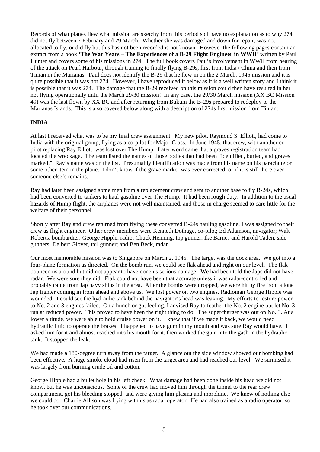Records of what planes flew what mission are sketchy from this period so I have no explanation as to why 274 did not fly between 7 February and 29 March. Whether she was damaged and down for repair, was not allocated to fly, or did fly but this has not been recorded is not known. However the following pages contain an extract from a book **'The War Years – The Experiences of a B-29 Flight Engineer in WWII'** written by Paul Hunter and covers some of his missions in 274. The full book covers Paul's involvement in WWII from hearing of the attack on Pearl Harbour, through training to finally flying B-29s, first from India / China and then from Tinian in the Marianas. Paul does not identify the B-29 that he flew in on the 2 March, 1945 mission and it is quite possible that it was not 274. However, I have reproduced it below as it is a well written story and I think it is possible that it was 274. The damage that the B-29 received on this mission could then have resulted in her not flying operationally until the March 29/30 mission! In any case, the 29/30 March mission (XX BC Mission 49) was the last flown by XX BC and after returning from Bukum the B-29s prepared to redeploy to the Marianas Islands. This is also covered below along with a description of 274s first mission from Tinian:

### **INDIA**

At last I received what was to be my final crew assignment. My new pilot, Raymond S. Elliott, had come to India with the original group, flying as a co-pilot for Major Glass. In June 1945, that crew, with another copilot replacing Ray Elliott, was lost over The Hump. Later word came that a graves registration team had located the wreckage. The team listed the names of those bodies that had been "identified, buried, and graves marked." Ray's name was on the list. Presumably identification was made from his name on his parachute or some other item in the plane. I don't know if the grave marker was ever corrected, or if it is still there over someone else's remains.

Ray had later been assigned some men from a replacement crew and sent to another base to fly B-24s, which had been converted to tankers to haul gasoline over The Hump. It had been rough duty. In addition to the usual hazards of Hump flight, the airplanes were not well maintained, and those in charge seemed to care little for the welfare of their personnel.

Shortly after Ray and crew returned from flying these converted B-24s hauling gasoline, I was assigned to their crew as flight engineer. Other crew members were Kenneth Dothage, co-pilot; Ed Adamson, navigator; Walt Roberts, bombardier; George Hipple, radio; Chuck Henning, top gunner; Ike Barnes and Harold Taden, side gunners; Delbert Glover, tail gunner; and Ben Beck, radar.

Our most memorable mission was to Singapore on March 2, 1945. The target was the dock area. We got into a four-plane formation as directed. On the bomb run, we could see flak ahead and right on our level. The flak bounced us around but did not appear to have done us serious damage. We had been told the Japs did not have radar. We were sure they did. Flak could not have been that accurate unless it was radar-controlled and probably came from Jap navy ships in the area. After the bombs were dropped, we were hit by fire from a lone Jap fighter coming in from ahead and above us. We lost power on two engines. Radioman George Hipple was wounded. I could see the hydraulic tank behind the navigator's head was leaking. My efforts to restore power to No. 2 and 3 engines failed. On a hunch or gut feeling, I advised Ray to feather the No. 2 engine but let No. 3 run at reduced power. This proved to have been the right thing to do. The supercharger was out on No. 3. At a lower altitude, we were able to hold cruise power on it. I knew that if we made it back, we would need hydraulic fluid to operate the brakes. I happened to have gum in my mouth and was sure Ray would have. I asked him for it and almost reached into his mouth for it, then worked the gum into the gash in the hydraulic tank. It stopped the leak.

We had made a 180-degree turn away from the target. A glance out the side window showed our bombing had been effective. A huge smoke cloud had risen from the target area and had reached our level. We surmised it was largely from burning crude oil and cotton.

George Hipple had a bullet hole in his left cheek. What damage had been done inside his head we did not know, but he was unconscious. Some of the crew had moved him through the tunnel to the rear crew compartment, got his bleeding stopped, and were giving him plasma and morphine. We knew of nothing else we could do. Charlie Allison was flying with us as radar operator. He had also trained as a radio operator, so he took over our communications.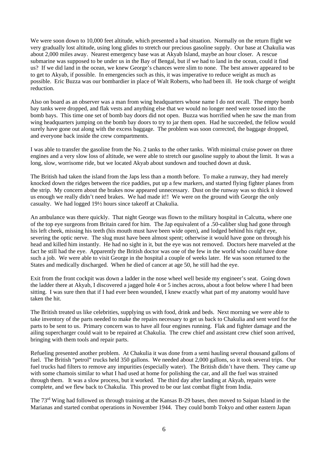We were soon down to 10,000 feet altitude, which presented a bad situation. Normally on the return flight we very gradually lost altitude, using long glides to stretch our precious gasoline supply. Our base at Chakulia was about 2,000 miles away. Nearest emergency base was at Akyab Island, maybe an hour closer. A rescue submarine was supposed to be under us in the Bay of Bengal, but if we had to land in the ocean, could it find us? If we did land in the ocean, we knew George's chances were slim to none. The best answer appeared to be to get to Akyab, if possible. In emergencies such as this, it was imperative to reduce weight as much as possible. Eric Buzza was our bombardier in place of Walt Roberts, who had been ill. He took charge of weight reduction.

Also on board as an observer was a man from wing headquarters whose name I do not recall. The empty bomb bay tanks were dropped, and flak vests and anything else that we would no longer need were tossed into the bomb bays. This time one set of bomb bay doors did not open. Buzza was horrified when he saw the man from wing headquarters jumping on the bomb bay doors to try to jar them open. Had he succeeded, the fellow would surely have gone out along with the excess baggage. The problem was soon corrected, the baggage dropped, and everyone back inside the crew compartments.

I was able to transfer the gasoline from the No. 2 tanks to the other tanks. With minimal cruise power on three engines and a very slow loss of altitude, we were able to stretch our gasoline supply to about the limit. It was a long, slow, worrisome ride, but we located Akyab about sundown and touched down at dusk.

The British had taken the island from the Japs less than a month before. To make a runway, they had merely knocked down the ridges between the rice paddies, put up a few markers, and started flying fighter planes from the strip. My concern about the brakes now appeared unnecessary. Dust on the runway was so thick it slowed us enough we really didn't need brakes. We had made it!! We were on the ground with George the only casualty. We had logged 19½ hours since takeoff at Chakulia.

An ambulance was there quickly. That night George was flown to the military hospital in Calcutta, where one of the top eye surgeons from Britain cared for him. The Jap equivalent of a .50-caliber slug had gone through his left cheek, missing his teeth (his mouth must have been wide open), and lodged behind his right eye, severing the optic nerve. The slug must have been almost spent; otherwise it would have gone on through his head and killed him instantly. He had no sight in it, but the eye was not removed. Doctors here marveled at the fact he still had the eye. Apparently the British doctor was one of the few in the world who could have done such a job. We were able to visit George in the hospital a couple of weeks later. He was soon returned to the States and medically discharged. When he died of cancer at age 50*,* he still had the eye.

Exit from the front cockpit was down a ladder in the nose wheel well beside my engineer's seat. Going down the ladder there at Akyab, I discovered a jagged hole 4 or 5 inches across, about a foot below where I had been sitting. I was sure then that if I had ever been wounded, I knew exactly what part of my anatomy would have taken the hit.

The British treated us like celebrities, supplying us with food, drink and beds. Next morning we were able to take inventory of the parts needed to make the repairs necessary to get us back to Chakulia and sent word for the parts to be sent to us. Primary concern was to have all four engines running. Flak and fighter damage and the ailing supercharger could wait to be repaired at Chakulia. The crew chief and assistant crew chief soon arrived, bringing with them tools and repair parts.

Refueling presented another problem. At Chakulia it was done from a semi hauling several thousand gallons of fuel. The British "petrol" trucks held 350 gallons. We needed about 2,000 gallons, so it took several trips. Our fuel trucks had filters to remove any impurities (especially water). The British didn't have them. They came up with some chamois similar to what I had used at home for polishing the car, and all the fuel was strained through them. It was a slow process, but it worked. The third day after landing at Akyab, repairs were complete, and we flew back to Chakulia. This proved to be our last combat flight from India.

The 73rd Wing had followed us through training at the Kansas B-29 bases, then moved to Saipan Island in the Marianas and started combat operations in November 1944. They could bomb Tokyo and other eastern Japan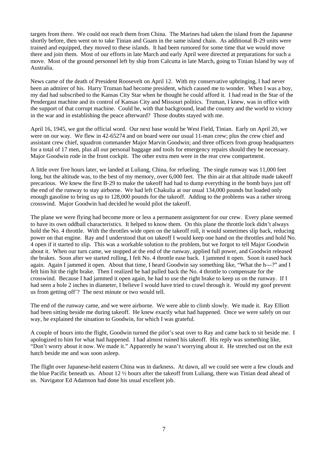targets from there. We could not reach them from China. The Marines had taken the island from the Japanese shortly before, then went on to take Tinian and Guam in the same island chain. As additional B-29 units were trained and equipped, they moved to these islands. It had been rumored for some time that we would move there and join them. Most of our efforts in late March and early April were directed at preparations for such a move. Most of the ground personnel left by ship from Calcutta in late March, going to Tinian Island by way of Australia.

News came of the death of President Roosevelt on April 12. With my conservative upbringing, I had never been an admirer of his. Harry Truman had become president, which caused me to wonder. When I was a boy, my dad had subscribed to the Kansas City Star when he thought he could afford it. I had read in the Star of the Pendergast machine and its control of Kansas City and Missouri politics. Truman, I knew, was in office with the support of that corrupt machine. Could he, with that background, lead the country and the world to victory in the war and in establishing the peace afterward? Those doubts stayed with me.

April 16, 1945, we got the official word. Our next base would be West Field, Tinian. Early on April 20, we were on our way. We flew in 42-65274 and on board were our usual 11-man crew; plus the crew chief and assistant crew chief, squadron commander Major Marvin Goodwin; and three officers from group headquarters for a total of 17 men, plus all our personal baggage and tools for emergency repairs should they be necessary. Major Goodwin rode in the front cockpit. The other extra men were in the rear crew compartment.

A little over five hours later, we landed at Luliang, China, for refueling. The single runway was 11,000 feet long, but the altitude was, to the best of my memory, over 6,000 feet. The thin air at that altitude made takeoff precarious. We knew the first B-29 to make the takeoff had had to dump everything in the bomb bays just off the end of the runway to stay airborne. We had left Chakulia at our usual 134,000 pounds but loaded only enough gasoline to bring us up to 128,000 pounds for the takeoff. Adding to the problems was a rather strong crosswind. Major Goodwin had decided he would pilot the takeoff.

The plane we were flying had become more or less a permanent assignment for our crew. Every plane seemed to have its own oddball characteristics. It helped to know them. On this plane the throttle lock didn't always hold the No. 4 throttle. With the throttles wide open on the takeoff roll, it would sometimes slip back, reducing power on that engine. Ray and I understood that on takeoff I would keep one hand on the throttles and hold No. 4 open if it started to slip. This was a workable solution to the problem, but we forgot to tell Major Goodwin about it. When our turn came, we stopped at the end of the runway, applied full power, and Goodwin released the brakes. Soon after we started rolling, I felt No. 4 throttle ease back. I jammed it open. Soon it eased back again. Again I jammed it open. About that time, I heard Goodwin say something like, "What the h---?" and I felt him hit the right brake. Then I realized he had pulled back the No. 4 throttle to compensate for the crosswind. Because I had jammed it open again, he had to use the right brake to keep us on the runway. If I had seen a hole 2 inches in diameter, I believe I would have tried to crawl through it. Would my goof prevent us from getting off'? The next minute or two would tell.

The end of the runway came, and we were airborne. We were able to climb slowly. We made it. Ray Elliott had been sitting beside me during takeoff. He knew exactly what had happened. Once we were safely on our way, he explained the situation to Goodwin, for which I was grateful.

A couple of hours into the flight, Goodwin turned the pilot's seat over to Ray and came back to sit beside me. I apologized to him for what had happened. I had almost ruined his takeoff. His reply was something like, "Don't worry about it now. We made it." Apparently he wasn't worrying about it. He stretched out on the exit hatch beside me and was soon asleep.

The flight over Japanese-held eastern China was in darkness. At dawn, all we could see were a few clouds and the blue Pacific beneath us. About 12 ½ hours after the takeoff from Luliang, there was Tinian dead ahead of us. Navigator Ed Adamson had done his usual excellent job.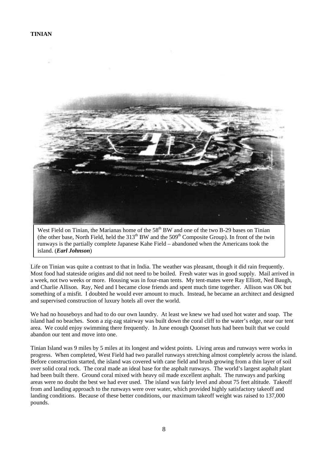![](_page_9_Picture_1.jpeg)

West Field on Tinian, the Marianas home of the  $58<sup>th</sup>$  BW and one of the two B-29 bases on Tinian (the other base, North Field, held the  $313<sup>th</sup>$  BW and the  $509<sup>th</sup>$  Composite Group). In front of the twin runways is the partially complete Japanese Kahe Field – abandoned when the Americans took the island. (*Earl Johnson*)

Life on Tinian was quite a contrast to that in India. The weather was pleasant, though it did rain frequently. Most food had stateside origins and did not need to be boiled. Fresh water was in good supply. Mail arrived in a week, not two weeks or more. Housing was in four-man tents. My tent-mates were Ray Elliott, Ned Baugh, and Charlie Allison. Ray, Ned and I became close friends and spent much time together. Allison was OK but something of a misfit. I doubted he would ever amount to much. Instead, he became an architect and designed and supervised construction of luxury hotels all over the world.

We had no houseboys and had to do our own laundry. At least we knew we had used hot water and soap. The island had no beaches. Soon a zig-zag stairway was built down the coral cliff to the water's edge, near our tent area. We could enjoy swimming there frequently. In June enough Quonset huts had been built that we could abandon our tent and move into one.

Tinian Island was 9 miles by 5 miles at its longest and widest points. Living areas and runways were works in progress. When completed, West Field had two parallel runways stretching almost completely across the island. Before construction started, the island was covered with cane field and brush growing from a thin layer of soil over solid coral rock. The coral made an ideal base for the asphalt runways. The world's largest asphalt plant had been built there. Ground coral mixed with heavy oil made excellent asphalt. The runways and parking areas were no doubt the best we had ever used. The island was fairly level and about 75 feet altitude. Takeoff from and landing approach to the runways were over water, which provided highly satisfactory takeoff and landing conditions. Because of these better conditions, our maximum takeoff weight was raised to 137,000 pounds.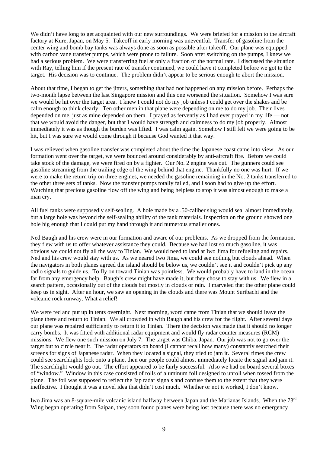We didn't have long to get acquainted with our new surroundings. We were briefed for a mission to the aircraft factory at Kure, Japan, on May 5. Takeoff in early morning was uneventful. Transfer of gasoline from the center wing and bomb bay tanks was always done as soon as possible after takeoff. Our plane was equipped with carbon vane transfer pumps, which were prone to failure. Soon after switching on the pumps, I knew we had a serious problem. We were transferring fuel at only a fraction of the normal rate. I discussed the situation with Ray, telling him if the present rate of transfer continued, we could have it completed before we got to the target. His decision was to continue. The problem didn't appear to be serious enough to abort the mission.

About that time, I began to get the jitters, something that had not happened on any mission before. Perhaps the two-month lapse between the last Singapore mission and this one worsened the situation. Somehow I was sure we would be hit over the target area. I knew I could not do my job unless I could get over the shakes and be calm enough to think clearly. Ten other men in that plane were depending on me to do my job. Their lives depended on me, just as mine depended on them. I prayed as fervently as I had ever prayed in my life — not that we would avoid the danger, but that I would have strength and calmness to do my job properly. Almost immediately it was as though the burden was lifted. I was calm again. Somehow I still felt we were going to be hit, but I was sure we would come through it because God wanted it that way.

I was relieved when gasoline transfer was completed about the time the Japanese coast came into view. As our formation went over the target, we were bounced around considerably by anti-aircraft fire. Before we could take stock of the damage, we were fired on by a fighter. Our No. 2 engine was out. The gunners could see gasoline streaming from the trailing edge of the wing behind that engine. Thankfully no one was hurt. If we were to make the return trip on three engines, we needed the gasoline remaining in the No. 2 tanks transferred to the other three sets of tanks. Now the transfer pumps totally failed, and I soon had to give up the effort. Watching that precious gasoline flow off the wing and being helpless to stop it was almost enough to make a man cry.

All fuel tanks were supposedly self-sealing. A hole made by a .50-caliber slug would seal almost immediately, but a large hole was beyond the self-sealing ability of the tank materials. Inspection on the ground showed one hole big enough that I could put my hand through it and numerous smaller ones.

Ned Baugh and his crew were in our formation and aware of our problems. As we dropped from the formation, they flew with us to offer whatever assistance they could. Because we had lost so much gasoline, it was obvious we could not fly all the way to Tinian. We would need to land at Iwo Jima for refueling and repairs. Ned and his crew would stay with us. As we neared Iwo Jima, we could see nothing but clouds ahead. When the navigators in both planes agreed the island should be below us, we couldn't see it and couldn't pick up any radio signals to guide us. To fly on toward Tinian was pointless. We would probably have to land in the ocean far from any emergency help. Baugh's crew might have made it, but they chose to stay with us. We flew in a search pattern, occasionally out of the clouds but mostly in clouds or rain. I marveled that the other plane could keep us in sight. After an hour, we saw an opening in the clouds and there was Mount Suribachi and the volcanic rock runway. What a relief!

We were fed and put up in tents overnight. Next morning, word came from Tinian that we should leave the plane there and return to Tinian. We all crowded in with Baugh and his crew for the flight. After several days our plane was repaired sufficiently to return it to Tinian. There the decision was made that it should no longer carry bombs. It was fitted with additional radar equipment and would fly radar counter measures (RCM) missions. We flew one such mission on July 7. The target was Chiba, Japan. Our job was not to go over the target but to circle near it. The radar operators on board (I cannot recall how many) constantly searched their screens for signs of Japanese radar. When they located a signal, they tried to jam it. Several times the crew could see searchlights lock onto a plane, then our people could almost immediately locate the signal and jam it. The searchlight would go out. The effort appeared to be fairly successful. Also we had on board several boxes of "window." Window in this case consisted of rolls of aluminum foil designed to unroll when tossed from the plane. The foil was supposed to reflect the Jap radar signals and confuse them to the extent that they were ineffective. I thought it was a novel idea that didn't cost much. Whether or not it worked, I don't know.

Iwo Jima was an 8-square-mile volcanic island halfway between Japan and the Marianas Islands. When the 73rd Wing began operating from Saipan, they soon found planes were being lost because there was no emergency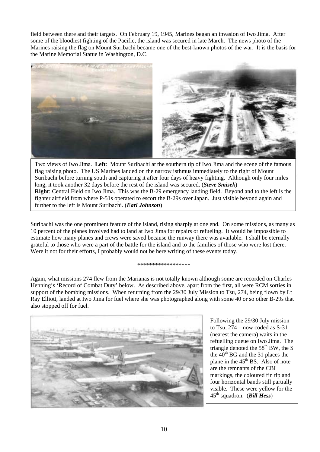field between there and their targets. On February 19, 1945, Marines began an invasion of Iwo Jima. After some of the bloodiest fighting of the Pacific, the island was secured in late March. The news photo of the Marines raising the flag on Mount Suribachi became one of the best-known photos of the war. It is the basis for the Marine Memorial Statue in Washington, D.C.

![](_page_11_Picture_1.jpeg)

Two views of Iwo Jima. **Left**: Mount Suribachi at the southern tip of Iwo Jima and the scene of the famous flag raising photo. The US Marines landed on the narrow isthmus immediately to the right of Mount Suribachi before turning south and capturing it after four days of heavy fighting. Although only four miles long, it took another 32 days before the rest of the island was secured. (*Steve Smisek*) **Right**: Central Field on Iwo Jima. This was the B-29 emergency landing field. Beyond and to the left is the fighter airfield from where P-51s operated to escort the B-29s over Japan. Just visible beyond again and further to the left is Mount Suribachi. (*Earl Johnson*)

Suribachi was the one prominent feature of the island, rising sharply at one end. On some missions, as many as 10 percent of the planes involved had to land at Iwo Jima for repairs or refueling. It would be impossible to estimate how many planes and crews were saved because the runway there was available. I shall be eternally grateful to those who were a part of the battle for the island and to the families of those who were lost there. Were it not for their efforts, I probably would not be here writing of these events today.

#### \*\*\*\*\*\*\*\*\*\*\*\*\*\*\*\*\*\*\*\*\*\*\*\*\*\*\*\*\*\*\*

Again, what missions 274 flew from the Marianas is not totally known although some are recorded on Charles Henning's 'Record of Combat Duty' below. As described above, apart from the first, all were RCM sorties in support of the bombing missions. When returning from the 29/30 July Mission to Tsu, 274, being flown by Lt Ray Elliott, landed at Iwo Jima for fuel where she was photographed along with some 40 or so other B-29s that also stopped off for fuel.

![](_page_11_Picture_6.jpeg)

Following the 29/30 July mission to Tsu,  $274 - now coded as S-31$ (nearest the camera) waits in the refuelling queue on Iwo Jima. The triangle denoted the  $58<sup>th</sup>$  BW, the S the  $40<sup>th</sup>$  BG and the 31 places the plane in the  $45<sup>th</sup>$  BS. Also of note are the remnants of the CBI markings, the coloured fin tip and four horizontal bands still partially visible. These were yellow for the 45th squadron. (*Bill Hess*)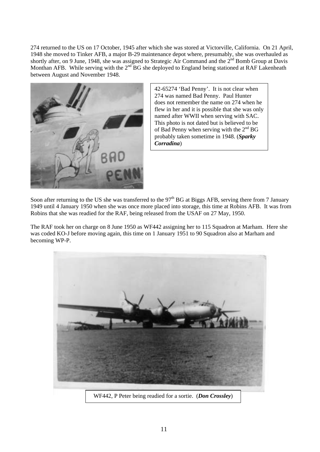274 returned to the US on 17 October, 1945 after which she was stored at Victorville, California. On 21 April, 1948 she moved to Tinker AFB, a major B-29 maintenance depot where, presumably, she was overhauled as shortly after, on 9 June, 1948, she was assigned to Strategic Air Command and the  $2<sup>nd</sup>$  Bomb Group at Davis Monthan AFB. While serving with the  $2<sup>nd</sup> BG$  she deployed to England being stationed at RAF Lakenheath between August and November 1948.

![](_page_12_Picture_1.jpeg)

42-65274 'Bad Penny'. It is not clear when 274 was named Bad Penny. Paul Hunter does not remember the name on 274 when he flew in her and it is possible that she was only named after WWII when serving with SAC. This photo is not dated but is believed to be of Bad Penny when serving with the  $2<sup>nd</sup> BG$ probably taken sometime in 1948. (*Sparky Corradina*)

Soon after returning to the US she was transferred to the  $97<sup>th</sup> BG$  at Biggs AFB, serving there from 7 January 1949 until 4 January 1950 when she was once more placed into storage, this time at Robins AFB. It was from Robins that she was readied for the RAF, being released from the USAF on 27 May, 1950.

The RAF took her on charge on 8 June 1950 as WF442 assigning her to 115 Squadron at Marham. Here she was coded KO-J before moving again, this time on 1 January 1951 to 90 Squadron also at Marham and becoming WP-P.

![](_page_12_Picture_5.jpeg)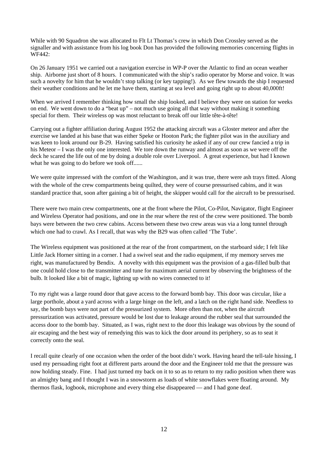While with 90 Squadron she was allocated to Flt Lt Thomas's crew in which Don Crossley served as the signaller and with assistance from his log book Don has provided the following memories concerning flights in WF442:

On 26 January 1951 we carried out a navigation exercise in WP-P over the Atlantic to find an ocean weather ship. Airborne just short of 8 hours. I communicated with the ship's radio operator by Morse and voice. It was such a novelty for him that he wouldn't stop talking (or key tapping!). As we flew towards the ship I requested their weather conditions and he let me have them, starting at sea level and going right up to about 40,000ft!

When we arrived I remember thinking how small the ship looked, and I believe they were on station for weeks on end. We went down to do a "beat up" – not much use going all that way without making it something special for them. Their wireless op was most reluctant to break off our little tête-à-tête!

Carrying out a fighter affiliation during August 1952 the attacking aircraft was a Gloster meteor and after the exercise we landed at his base that was either Speke or Hooton Park; the fighter pilot was in the auxiliary and was keen to look around our B-29. Having satisfied his curiosity he asked if any of our crew fancied a trip in his Meteor – I was the only one interested. We tore down the runway and almost as soon as we were off the deck he scared the life out of me by doing a double role over Liverpool. A great experience, but had I known what he was going to do before we took off......

We were quite impressed with the comfort of the Washington, and it was true, there were ash trays fitted. Along with the whole of the crew compartments being quilted, they were of course pressurised cabins, and it was standard practice that, soon after gaining a bit of height, the skipper would call for the aircraft to be pressurised.

There were two main crew compartments, one at the front where the Pilot, Co-Pilot, Navigator, flight Engineer and Wireless Operator had positions, and one in the rear where the rest of the crew were positioned. The bomb bays were between the two crew cabins. Access between these two crew areas was via a long tunnel through which one had to crawl. As I recall, that was why the B29 was often called 'The Tube'.

The Wireless equipment was positioned at the rear of the front compartment, on the starboard side; I felt like Little Jack Horner sitting in a corner. I had a swivel seat and the radio equipment, if my memory serves me right, was manufactured by Bendix. A novelty with this equipment was the provision of a gas-filled bulb that one could hold close to the transmitter and tune for maximum aerial current by observing the brightness of the bulb. It looked like a bit of magic, lighting up with no wires connected to it!

To my right was a large round door that gave access to the forward bomb bay. This door was circular, like a large porthole, about a yard across with a large hinge on the left, and a latch on the right hand side. Needless to say, the bomb bays were not part of the pressurized system. More often than not, when the aircraft pressurization was activated, pressure would be lost due to leakage around the rubber seal that surrounded the access door to the bomb bay. Situated, as I was, right next to the door this leakage was obvious by the sound of air escaping and the best way of remedying this was to kick the door around its periphery, so as to seat it correctly onto the seal.

I recall quite clearly of one occasion when the order of the boot didn't work. Having heard the tell-tale hissing, I used my persuading right foot at different parts around the door and the Engineer told me that the pressure was now holding steady. Fine. I had just turned my back on it to so as to return to my radio position when there was an almighty bang and I thought I was in a snowstorm as loads of white snowflakes were floating around. My thermos flask, logbook, microphone and every thing else disappeared — and I had gone deaf.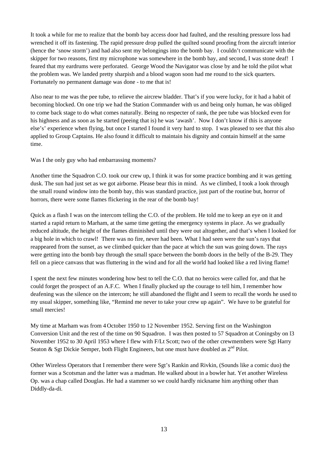It took a while for me to realize that the bomb bay access door had faulted, and the resulting pressure loss had wrenched it off its fastening. The rapid pressure drop pulled the quilted sound proofing from the aircraft interior (hence the 'snow storm') and had also sent my belongings into the bomb bay. I couldn't communicate with the skipper for two reasons, first my microphone was somewhere in the bomb bay, and second, I was stone deaf! I feared that my eardrums were perforated. George Wood the Navigator was close by and he told the pilot what the problem was. We landed pretty sharpish and a blood wagon soon had me round to the sick quarters. Fortunately no permanent damage was done - to me that is!

Also near to me was the pee tube, to relieve the aircrew bladder. That's if you were lucky, for it had a habit of becoming blocked. On one trip we had the Station Commander with us and being only human, he was obliged to come back stage to do what comes naturally. Being no respecter of rank, the pee tube was blocked even for his highness and as soon as he started (peeing that is) he was 'awash'. Now I don't know if this is anyone else's' experience when flying, but once I started I found it very hard to stop. I was pleased to see that this also applied to Group Captains. He also found it difficult to maintain his dignity and contain himself at the same time.

Was I the only guy who had embarrassing moments?

Another time the Squadron C.O. took our crew up, I think it was for some practice bombing and it was getting dusk. The sun had just set as we got airborne. Please bear this in mind. As we climbed, I took a look through the small round window into the bomb bay, this was standard practice, just part of the routine but, horror of horrors, there were some flames flickering in the rear of the bomb bay!

Quick as a flash I was on the intercom telling the C.O. of the problem. He told me to keep an eye on it and started a rapid return to Marham, at the same time getting the emergency systems in place. As we gradually reduced altitude, the height of the flames diminished until they were out altogether, and that's when I looked for a big hole in which to crawl! There was no fire, never had been. What I had seen were the sun's rays that reappeared from the sunset, as we climbed quicker than the pace at which the sun was going down. The rays were getting into the bomb bay through the small space between the bomb doors in the belly of the B-29. They fell on a piece canvass that was fluttering in the wind and for all the world had looked like a red living flame!

I spent the next few minutes wondering how best to tell the C.O. that no heroics were called for, and that he could forget the prospect of an A.F.C. When I finally plucked up the courage to tell him, I remember how deafening was the silence on the intercom; he still abandoned the flight and I seem to recall the words he used to my usual skipper, something like, "Remind me never to take your crew up again". We have to be grateful for small mercies!

My time at Marham was from 4 October 1950 to 12 November 1952. Serving first on the Washington Conversion Unit and the rest of the time on 90 Squadron. I was then posted to 57 Squadron at Coningsby on l3 November 1952 to 30 April 1953 where I flew with F/Lt Scott; two of the other crewmembers were Sgt Harry Seaton & Sgt Dickie Semper, both Flight Engineers, but one must have doubled as  $2<sup>nd</sup>$  Pilot.

Other Wireless Operators that I remember there were Sgt's Rankin and Rivkin, (Sounds like a comic duo) the former was a Scotsman and the latter was a madman. He walked about in a bowler hat. Yet another Wireless Op. was a chap called Douglas. He had a stammer so we could hardly nickname him anything other than Diddly-da-di.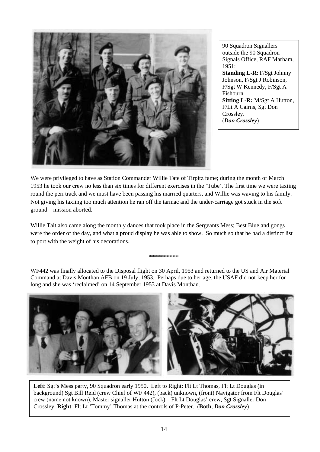![](_page_15_Picture_0.jpeg)

90 Squadron Signallers outside the 90 Squadron Signals Office, RAF Marham, 1951: **Standing L-R**: F/Sgt Johnny Johnson, F/Sgt J Robinson, F/Sgt W Kennedy, F/Sgt A Fishburn **Sitting L-R:** M/Sgt A Hutton, F/Lt A Cairns, Sgt Don Crossley. (*Don Crossley*)

We were privileged to have as Station Commander Willie Tate of Tirpitz fame; during the month of March 1953 he took our crew no less than six times for different exercises in the 'Tube'. The first time we were taxiing round the peri track and we must have been passing his married quarters, and Willie was waving to his family. Not giving his taxiing too much attention he ran off the tarmac and the under-carriage got stuck in the soft ground – mission aborted.

Willie Tait also came along the monthly dances that took place in the Sergeants Mess; Best Blue and gongs were the order of the day, and what a proud display he was able to show. So much so that he had a distinct list to port with the weight of his decorations.

\*\*\*\*\*\*\*\*\*\*

WF442 was finally allocated to the Disposal flight on 30 April, 1953 and returned to the US and Air Material Command at Davis Monthan AFB on 19 July, 1953. Perhaps due to her age, the USAF did not keep her for long and she was 'reclaimed' on 14 September 1953 at Davis Monthan.

![](_page_15_Picture_6.jpeg)

**Left**: Sgt's Mess party, 90 Squadron early 1950. Left to Right: Flt Lt Thomas, Flt Lt Douglas (in background) Sgt Bill Reid (crew Chief of WF 442), (back) unknown, (front) Navigator from Flt Douglas' crew (name not known), Master signaller Hutton (Jock) – Flt Lt Douglas' crew, Sgt Signaller Don Crossley. **Right**: Flt Lt 'Tommy' Thomas at the controls of P-Peter. (**Both**, *Don Crossley*)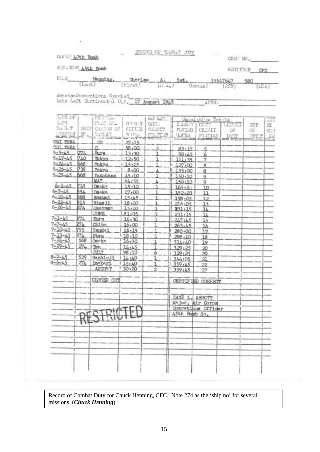GRAUP AOth Bomb

RECORD OF COLORIT JUTY

Cit.

CREW NO. FOSITION OFC

S Kall220 A5th Bomb

| $\frac{\text{Heuntag}}{\text{(Last)}} - \frac{\text{deuntag}}{\text{(Eurs)}} - \frac{\text{A.}}{\text{(Lust)}} - \frac{\text{A.}}{\text{(Lust)}} - \frac{\text{Sgt}}{\text{(Lust)}} - \frac{\text{Sgt}}{\text{(Lust)}} - \frac{35547647}{\text{(Lust)}} - \frac{580}{\text{(LCS)}}$ |  |  |  |  |
|-------------------------------------------------------------------------------------------------------------------------------------------------------------------------------------------------------------------------------------------------------------------------------------|--|--|--|--|
|                                                                                                                                                                                                                                                                                     |  |  |  |  |

Awards-Docorntions Granted\_<br>Date Left Continental U.S. 17 August 1945 AUTH:

| LIE OF                         |     | GENT <sub>aber</sub> |        | NJ LEL         |                  | Committe Totals    |               |              | XHT   |
|--------------------------------|-----|----------------------|--------|----------------|------------------|--------------------|---------------|--------------|-------|
| $\mathbb{Z}_4$ CH              |     | PHIC IC_             | 医主星灯   | CREW!          | C.LE.T.          | Citat              | <b>LETTES</b> | INT          | EY    |
| D.A.B.T                        |     | SHIP CATION OF       | FLYLIG | CADIT          | FLVLXE:          | CRIMIT             | $-$ OH        | OK           | CIE!  |
| TESTON NO.                     |     | <b>SAMAR</b>         | 改更版    | SOUTH S        | HUTRS            | SOLTIES            | DUTY          | <b>ENTEY</b> | $-24$ |
| CBI THEA                       |     | OR.                  | 27,15  |                |                  |                    |               |              |       |
| CRT THEA                       |     | c                    | 58,00  | 5.             | 85.15            |                    |               |              |       |
| $5 - 5 - 45$                   | 274 | Aure                 | 13,30  |                | 98:45            | 5                  |               |              |       |
| $5 - 17 - 45$                  | 740 | Tokyo                | 12.50  | ı              |                  | 6                  |               |              |       |
| $5 - 24 - 45$                  | 668 | <b>Tokyo</b>         | 15:25  |                | 111.35           | $\overline{z}$     |               |              |       |
| $5 - 26 - 45$                  | 738 | <b>Tokyo</b>         | 8,00   |                | 127:00           | 8                  |               |              |       |
| $5 - 29 - 45$                  | 668 | Yokohama             | 15,10  |                | 135:00           | 8                  |               |              |       |
|                                |     | MAY                  | 64:55  |                | 150:10           | 9                  |               |              |       |
| $6 - 1 - 45$                   | 718 |                      |        |                | 150:10           | 9                  |               |              |       |
| $6 - 7 - 45$                   | 554 | <b>Osalca</b>        | 15.10  |                | 165:2            | 10                 |               |              |       |
| $6 - 10 - 45$                  |     | <b>Canka</b>         | 17,00  |                | 182:20           | 11                 |               |              |       |
|                                | 668 | Kasum1               | 15:45  | 1              | 198:05           | 12                 |               |              |       |
| $6 - 22 - 45$<br>$6 - 26 - 45$ | 915 | Hims 11              | 18.00  |                | 216:05           | 13                 |               |              |       |
|                                | 274 | Okayama              | 15:10  | 1              | 231:15           | 14                 |               |              |       |
|                                |     | <b>JUNE</b>          | 81:05  | 5              | 231.15           | 14                 |               |              |       |
| $7 - 1 - 45$                   | 274 | Kure                 | 16.30  | 1              | 247.45           | 15                 |               |              |       |
| $7 - 7 - 1.5$                  | 274 | Chiba                | 16:00  | 1              | 263.45           | 16                 |               |              |       |
| $7 - 10 - 45$                  | 795 | Sendai               | 16.15  |                | 280.00           | 17                 |               |              |       |
| $7 - 13 - 45$                  | 274 | Utau                 | 18.10  | ٦              | 298,10           | 18                 |               |              |       |
| $7 - 24 - 45$                  | 668 | OBAka                | 16:30  |                | 314:40           | 19                 |               |              |       |
| $7 - 29 - 45$                  | 274 | Tou.                 | 14:45  |                | 329:25           | 20                 |               |              |       |
|                                |     | JULY                 | 98:10  | 6              | 329:25           | 20                 |               |              |       |
| $8 - 2 - 45$                   | 529 | Hachioji             | 14:40  |                | 344105           | 21                 |               |              |       |
| $8 - 6 - 45$                   | 274 | Imphari              | 15:40  |                | 359:45           | 22                 |               |              |       |
|                                |     | <b>AUGUST</b>        | 30:20  | $\overline{2}$ | 359:45           | $22^{1}$           |               |              |       |
|                                |     |                      |        |                |                  |                    |               |              |       |
|                                |     | CLOSED OUT           |        |                |                  | CERTIFIED CORRECT  |               |              |       |
|                                |     |                      |        |                |                  |                    |               |              |       |
|                                |     |                      |        |                |                  |                    |               |              |       |
|                                |     |                      |        |                | ZANE L. ABBOTT   |                    |               |              |       |
|                                |     |                      |        |                | Major, Air Corps |                    |               |              |       |
|                                |     |                      |        |                |                  | Operations Officer |               |              |       |
|                                |     |                      |        |                | 45th Bomb Sn.    |                    |               |              |       |
|                                |     | RESTRICTED           |        |                |                  |                    |               |              |       |
|                                |     |                      |        |                |                  |                    |               |              |       |
|                                |     |                      |        |                |                  |                    |               |              |       |
|                                |     |                      |        |                |                  |                    |               |              |       |
|                                |     |                      |        |                |                  |                    |               |              |       |
|                                |     |                      |        |                |                  |                    |               |              |       |
|                                |     |                      |        |                |                  |                    |               |              |       |
|                                |     |                      |        |                |                  |                    |               |              |       |
|                                |     |                      |        |                |                  |                    |               |              |       |
|                                |     |                      |        |                |                  |                    |               |              |       |
|                                |     |                      |        |                |                  |                    |               |              |       |

Record of Combat Duty for Chuck Henning, CFC. Note 274 as the 'ship no' for several missions. (*Chuck Henning*)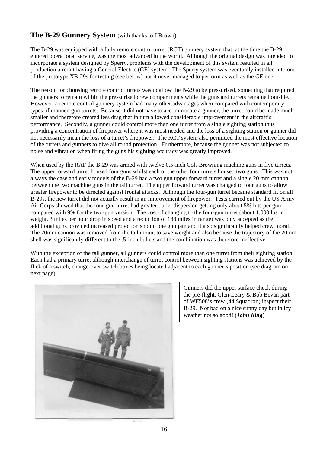# The B-29 Gunnery System (with thanks to J Brown)

The B-29 was equipped with a fully remote control turret (RCT) gunnery system that, at the time the B-29 entered operational service, was the most advanced in the world. Although the original design was intended to incorporate a system designed by Sperry, problems with the development of this system resulted in all production aircraft having a General Electric (GE) system. The Sperry system was eventually installed into one of the prototype XB-29s for testing (see below) but it never managed to perform as well as the GE one.

The reason for choosing remote control turrets was to allow the B-29 to be pressurised, something that required the gunners to remain within the pressurised crew compartments while the guns and turrets remained outside. However, a remote control gunnery system had many other advantages when compared with contemporary types of manned gun turrets. Because it did not have to accommodate a gunner, the turret could be made much smaller and therefore created less drag that in turn allowed considerable improvement in the aircraft's performance. Secondly, a gunner could control more than one turret from a single sighting station thus providing a concentration of firepower where it was most needed and the loss of a sighting station or gunner did not necessarily mean the loss of a turret's firepower. The RCT system also permitted the most effective location of the turrets and gunners to give all round protection. Furthermore, because the gunner was not subjected to noise and vibration when firing the guns his sighting accuracy was greatly improved.

When used by the RAF the B-29 was armed with twelve 0.5-inch Colt-Browning machine guns in five turrets. The upper forward turret housed four guns whilst each of the other four turrets housed two guns. This was not always the case and early models of the B-29 had a two gun upper forward turret and a single 20 mm cannon between the two machine guns in the tail turret. The upper forward turret was changed to four guns to allow greater firepower to be directed against frontal attacks. Although the four-gun turret became standard fit on all B-29s, the new turret did not actually result in an improvement of firepower. Tests carried out by the US Army Air Corps showed that the four-gun turret had greater bullet dispersion getting only about 5% hits per gun compared with 9% for the two-gun version. The cost of changing to the four-gun turret (about 1,000 lbs in weight, 3 miles per hour drop in speed and a reduction of 188 miles in range) was only accepted as the additional guns provided increased protection should one gun jam and it also significantly helped crew moral. The 20mm cannon was removed from the tail mount to save weight and also because the trajectory of the 20mm shell was significantly different to the .5-inch bullets and the combination was therefore ineffective.

With the exception of the tail gunner, all gunners could control more than one turret from their sighting station. Each had a primary turret although interchange of turret control between sighting stations was achieved by the flick of a switch, change-over switch boxes being located adjacent to each gunner's position (see diagram on next page).

![](_page_17_Picture_5.jpeg)

Gunners did the upper surface check during the pre-flight. Glen-Leary & Bob Bevan part of WF508's crew (44 Squadron) inspect their B-29. Not bad on a nice sunny day but in icy weather not so good! (*John King*)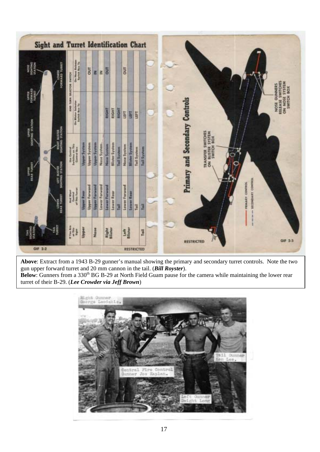| HOSE<br>SIGHTING<br>STATION<br><b>TERRIT GENERO</b>                                                        | On New Solvey<br>AND TURN SELECTOR SWITCH                                                                                                                                                                                                   |                     | <b>DUT</b>           | z                    | z                    | ā                  |                       |             | 5                    |                                            |             |  |                                                                                           |                                                                    |
|------------------------------------------------------------------------------------------------------------|---------------------------------------------------------------------------------------------------------------------------------------------------------------------------------------------------------------------------------------------|---------------------|----------------------|----------------------|----------------------|--------------------|-----------------------|-------------|----------------------|--------------------------------------------|-------------|--|-------------------------------------------------------------------------------------------|--------------------------------------------------------------------|
| <b>UPPER</b><br>PORMARD                                                                                    | On Blater Science                                                                                                                                                                                                                           |                     |                      |                      |                      | RIGHT              | <b>RIGHT</b>          | RIGHT       | LEFT                 | LET<br>LET                                 |             |  |                                                                                           | RELEASE SWITCHES<br>ON NOSE STISTEM<br>SWITCH BOX<br>NOSE QUINNERS |
| SONTHO STATION<br><b>BASTER</b><br>G-STATION<br><b>BUSITER</b><br>G STATION<br><b>UPPER</b><br>HAAR TURNET | $\begin{array}{l} \displaystyle \lim_{n\rightarrow +\infty} \displaystyle \mathrm{Gamma} \, m \\ \displaystyle \lim_{n\rightarrow +\infty} \displaystyle \lim_{n\rightarrow +\infty} \displaystyle \lim_{n\rightarrow +\infty} \end{array}$ | <b>Upper System</b> | <b>Upper System</b>  | <b>Upper System</b>  | Nose System.         | <b>Nose System</b> | <b>Blister System</b> | Tail System | Nose System          | <b>Mister System</b><br><b>Tail System</b> | Tail System |  | Primary and Secondary Controls<br>TRANSFER SWITCHES<br>ON ILLISTER SYSTEM<br>/ SWITCH BOX |                                                                    |
| LOWER<br>ILLA, I TURELT                                                                                    | H                                                                                                                                                                                                                                           | <b>Upper Rear</b>   | <b>Upper Forward</b> | <b>Upper Forward</b> | <b>Lower Forward</b> | Lower Ferword      | <b>Lower Rear</b>     | Tail        | <b>Lower Ferword</b> | Lower Rear<br>Tail                         | Tail        |  | SECONDARY CONTROL<br>PENART CONTROL                                                       |                                                                    |
| TATION                                                                                                     | H                                                                                                                                                                                                                                           | Upper               |                      | None                 |                      | Right              |                       |             | <b>Sime</b>          |                                            | Tail        |  | RESTRICTED                                                                                | GIF 2-3                                                            |

**Above**: Extract from a 1943 B-29 gunner's manual showing the primary and secondary turret controls. Note the two gun upper forward turret and 20 mm cannon in the tail. (*Bill Royster*). **Below**: Gunners from a 330<sup>th</sup> BG B-29 at North Field Guam pause for the camera while maintaining the lower rear turret of their B-29. (*Lee Crowder via Jeff Brown*)

> BLeht-Ounne Dunner Tax. rn1 PI Jo Enn. Unide tel-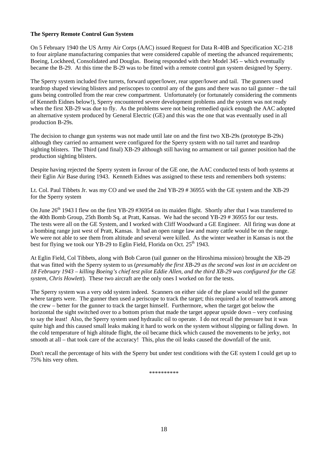### **The Sperry Remote Control Gun System**

On 5 February 1940 the US Army Air Corps (AAC) issued Request for Data R-40B and Specification XC-218 to four airplane manufacturing companies that were considered capable of meeting the advanced requirements; Boeing, Lockheed, Consolidated and Douglas. Boeing responded with their Model 345 – which eventually became the B-29. At this time the B-29 was to be fitted with a remote control gun system designed by Sperry.

The Sperry system included five turrets, forward upper/lower, rear upper/lower and tail. The gunners used teardrop shaped viewing blisters and periscopes to control any of the guns and there was no tail gunner – the tail guns being controlled from the rear crew compartment. Unfortunately (or fortunately considering the comments of Kenneth Eidnes below!), Sperry encountered severe development problems and the system was not ready when the first XB-29 was due to fly. As the problems were not being remedied quick enough the AAC adopted an alternative system produced by General Electric (GE) and this was the one that was eventually used in all production B-29s.

The decision to change gun systems was not made until late on and the first two XB-29s (prototype B-29s) although they carried no armament were configured for the Sperry system with no tail turret and teardrop sighting blisters. The Third (and final) XB-29 although still having no armament or tail gunner position had the production sighting blisters.

Despite having rejected the Sperry system in favour of the GE one, the AAC conducted tests of both systems at their Eglin Air Base during 1943. Kenneth Eidnes was assigned to these tests and remembers both systems:

Lt. Col. Paul Tibbets Jr. was my CO and we used the 2nd YB-29 # 36955 with the GE system and the XB-29 for the Sperry system

On June 26<sup>th</sup> 1943 I flew on the first YB-29 #36954 on its maiden flight. Shortly after that I was transferred to the 40th Bomb Group, 25th Bomb Sq. at Pratt, Kansas. We had the second YB-29 # 36955 for our tests. The tests were all on the GE System, and I worked with Cliff Woodward a GE Engineer. All firing was done at a bombing range just west of Pratt, Kansas. It had an open range law and many cattle would be on the range. We were not able to see them from altitude and several were killed. As the winter weather in Kansas is not the best for flying we took our YB-29 to Eglin Field, Florida on Oct.  $25<sup>th</sup> 1943$ .

At Eglin Field, Col Tibbets, along with Bob Caron (tail gunner on the Hiroshima mission) brought the XB-29 that was fitted with the Sperry system to us (*presumably the first XB-29 as the second was lost in an accident on 18 February 1943 – killing Boeing's chief test pilot Eddie Allen, and the third XB-29 was configured for the GE system, Chris Howlett*). These two aircraft are the only ones I worked on for the tests.

The Sperry system was a very odd system indeed. Scanners on either side of the plane would tell the gunner where targets were. The gunner then used a periscope to track the target; this required a lot of teamwork among the crew – better for the gunner to track the target himself. Furthermore, when the target got below the horizontal the sight switched over to a bottom prism that made the target appear upside down – very confusing to say the least! Also, the Sperry system used hydraulic oil to operate. I do not recall the pressure but it was quite high and this caused small leaks making it hard to work on the system without slipping or falling down. In the cold temperature of high altitude flight, the oil became thick which caused the movements to be jerky, not smooth at all – that took care of the accuracy! This, plus the oil leaks caused the downfall of the unit.

Don't recall the percentage of hits with the Sperry but under test conditions with the GE system I could get up to 75% hits very often.

\*\*\*\*\*\*\*\*\*\*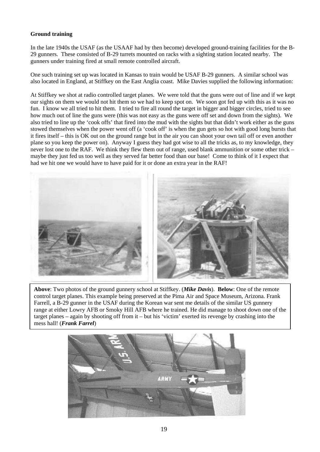### **Ground training**

In the late 1940s the USAF (as the USAAF had by then become) developed ground-training facilities for the B-29 gunners. These consisted of B-29 turrets mounted on racks with a sighting station located nearby. The gunners under training fired at small remote controlled aircraft.

One such training set up was located in Kansas to train would be USAF B-29 gunners. A similar school was also located in England, at Stiffkey on the East Anglia coast. Mike Davies supplied the following information:

At Stiffkey we shot at radio controlled target planes. We were told that the guns were out of line and if we kept our sights on them we would not hit them so we had to keep spot on. We soon got fed up with this as it was no fun. I know we all tried to hit them. I tried to fire all round the target in bigger and bigger circles, tried to see how much out of line the guns were (this was not easy as the guns were off set and down from the sights). We also tried to line up the 'cook offs' that fired into the mud with the sights but that didn't work either as the guns stowed themselves when the power went off (a 'cook off' is when the gun gets so hot with good long bursts that it fires itself – this is OK out on the ground range but in the air you can shoot your own tail off or even another plane so you keep the power on). Anyway I guess they had got wise to all the tricks as, to my knowledge, they never lost one to the RAF. We think they flew them out of range, used blank ammunition or some other trick – maybe they just fed us too well as they served far better food than our base! Come to think of it I expect that had we hit one we would have to have paid for it or done an extra year in the RAF!

![](_page_20_Picture_4.jpeg)

**Above**: Two photos of the ground gunnery school at Stiffkey. (*Mike Davis*). **Below**: One of the remote control target planes. This example being preserved at the Pima Air and Space Museum, Arizona. Frank Farrell, a B-29 gunner in the USAF during the Korean war sent me details of the similar US gunnery range at either Lowry AFB or Smoky Hill AFB where he trained. He did manage to shoot down one of the target planes – again by shooting off from it – but his 'victim' exerted its revenge by crashing into the mess hall! (*Frank Farrel*)

![](_page_20_Picture_6.jpeg)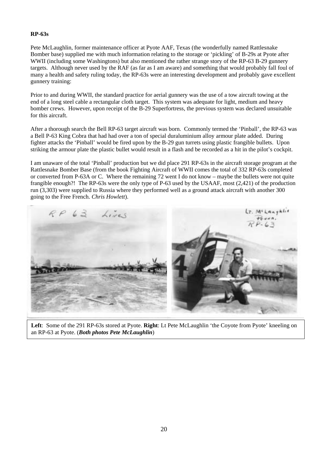### **RP-63s**

Pete McLaughlin, former maintenance officer at Pyote AAF, Texas (the wonderfully named Rattlesnake Bomber base) supplied me with much information relating to the storage or 'pickling' of B-29s at Pyote after WWII (including some Washingtons) but also mentioned the rather strange story of the RP-63 B-29 gunnery targets. Although never used by the RAF (as far as I am aware) and something that would probably fall foul of many a health and safety ruling today, the RP-63s were an interesting development and probably gave excellent gunnery training:

Prior to and during WWII, the standard practice for aerial gunnery was the use of a tow aircraft towing at the end of a long steel cable a rectangular cloth target. This system was adequate for light, medium and heavy bomber crews. However, upon receipt of the B-29 Superfortress, the previous system was declared unsuitable for this aircraft.

After a thorough search the Bell RP-63 target aircraft was born. Commonly termed the 'Pinball', the RP-63 was a Bell P-63 King Cobra that had had over a ton of special duraluminium alloy armour plate added. During fighter attacks the 'Pinball' would be fired upon by the B-29 gun turrets using plastic frangible bullets. Upon striking the armour plate the plastic bullet would result in a flash and be recorded as a hit in the pilot's cockpit.

I am unaware of the total 'Pinball' production but we did place 291 RP-63s in the aircraft storage program at the Rattlesnake Bomber Base (from the book Fighting Aircraft of WWII comes the total of 332 RP-63s completed or converted from P-63A or C. Where the remaining 72 went I do not know – maybe the bullets were not quite frangible enough?! The RP-63s were the only type of P-63 used by the USAAF, most (2,421) of the production run (3,303) were supplied to Russia where they performed well as a ground attack aircraft with another 300 going to the Free French. *Chris Howlett*).

![](_page_21_Picture_5.jpeg)

**Left**: Some of the 291 RP-63s stored at Pyote. **Right**: Lt Pete McLaughlin 'the Coyote from Pyote' kneeling on an RP-63 at Pyote. (*Both photos Pete McLaughlin*)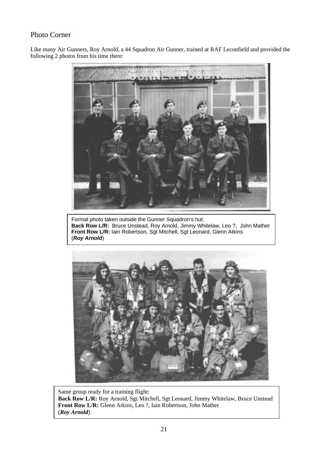# Photo Corner

Like many Air Gunners, Roy Arnold, a 44 Squadron Air Gunner, trained at RAF Leconfield and provided the following 2 photos from his time there:

![](_page_22_Picture_2.jpeg)

Formal photo taken outside the Gunner Squadron's hut: **Back Row L/R:** Bruce Unstead, Roy Arnold, Jimmy Whitelaw, Leo ?, John Mather **Front Row L/R:** Iain Robertson, Sgt Mitchell, Sgt Leonard, Glenn Atkins (*Roy Arnold*)

![](_page_22_Picture_4.jpeg)

Same group ready for a training flight: **Back Row L/R:** Roy Arnold, Sgt Mitchell, Sgt Leonard, Jimmy Whitelaw, Bruce Unstead **Front Row L/R:** Glenn Atkins, Leo ?, Iain Robertson, John Mather (*Roy Arnold*)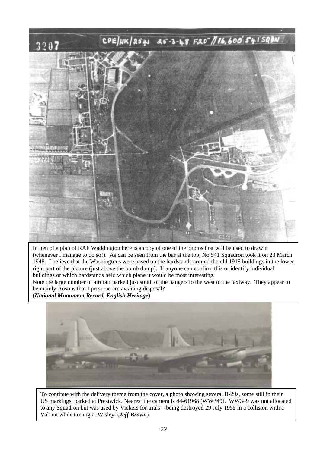![](_page_23_Picture_0.jpeg)

In lieu of a plan of RAF Waddington here is a copy of one of the photos that will be used to draw it (whenever I manage to do so!). As can be seen from the bar at the top, No 541 Squadron took it on 23 March 1948. I believe that the Washingtons were based on the hardstands around the old 1918 buildings in the lower right part of the picture (just above the bomb dump). If anyone can confirm this or identify individual buildings or which hardstands held which plane it would be most interesting.

Note the large number of aircraft parked just south of the hangers to the west of the taxiway. They appear to be mainly Ansons that I presume are awaiting disposal?

(*National Monument Record, English Heritage*)

![](_page_23_Picture_4.jpeg)

To continue with the delivery theme from the cover, a photo showing several B-29s, some still in their US markings, parked at Prestwick. Nearest the camera is 44-61968 (WW349). WW349 was not allocated to any Squadron but was used by Vickers for trials – being destroyed 29 July 1955 in a collision with a Valiant while taxiing at Wisley. (*Jeff Brown*)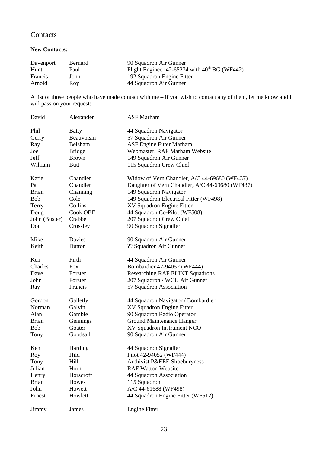# **Contacts**

### **New Contacts:**

| Davenport | Bernard | 90 Squadron Air Gunner                               |
|-----------|---------|------------------------------------------------------|
| Hunt      | Paul    | Flight Engineer $42-65274$ with $40^{th}$ BG (WF442) |
| Francis   | John    | 192 Squadron Engine Fitter                           |
| Arnold    | Rov     | 44 Squadron Air Gunner                               |

A list of those people who have made contact with me – if you wish to contact any of them, let me know and I will pass on your request:

| David         | Alexander      | <b>ASF</b> Marham                               |
|---------------|----------------|-------------------------------------------------|
| Phil          | <b>Batty</b>   | 44 Squadron Navigator                           |
| Gerry         | Beauvoisin     | 57 Squadron Air Gunner                          |
| Ray           | <b>Belsham</b> | <b>ASF Engine Fitter Marham</b>                 |
| Joe           | <b>Bridge</b>  | Webmaster, RAF Marham Website                   |
| Jeff          | <b>Brown</b>   | 149 Squadron Air Gunner                         |
| William       | <b>Butt</b>    | 115 Squadron Crew Chief                         |
| Katie         | Chandler       | Widow of Vern Chandler, A/C 44-69680 (WF437)    |
| Pat           | Chandler       | Daughter of Vern Chandler, A/C 44-69680 (WF437) |
| <b>Brian</b>  | Channing       | 149 Squadron Navigator                          |
| <b>Bob</b>    | Cole           | 149 Squadron Electrical Fitter (WF498)          |
| Terry         | Collins        | XV Squadron Engine Fitter                       |
| Doug          | Cook OBE       | 44 Squadron Co-Pilot (WF508)                    |
| John (Buster) | Crabbe         | 207 Squadron Crew Chief                         |
| Don           | Crossley       | 90 Squadron Signaller                           |
| Mike          | Davies         | 90 Squadron Air Gunner                          |
| Keith         | Dutton         | ?? Squadron Air Gunner                          |
| Ken           | Firth          | 44 Squadron Air Gunner                          |
| Charles       | Fox            | Bombardier 42-94052 (WF444)                     |
| Dave          | Forster        | Researching RAF ELINT Squadrons                 |
| John          | Forster        | 207 Squadron / WCU Air Gunner                   |
| Ray           | Francis        | 57 Squadron Association                         |
| Gordon        | Galletly       | 44 Squadron Navigator / Bombardier              |
| Norman        | Galvin         | XV Squadron Engine Fitter                       |
| Alan          | Gamble         | 90 Squadron Radio Operator                      |
| <b>Brian</b>  | Gennings       | Ground Maintenance Hanger                       |
| <b>Bob</b>    | Goater         | XV Squadron Instrument NCO                      |
| Tony          | Goodsall       | 90 Squadron Air Gunner                          |
| Ken           | Harding        | 44 Squadron Signaller                           |
| Roy           | Hild           | Pilot 42-94052 (WF444)                          |
| Tony          | Hill           | Archivist P&EEE Shoeburyness                    |
| Julian        | Horn           | <b>RAF Watton Website</b>                       |
| Henry         | Horscroft      | 44 Squadron Association                         |
| <b>Brian</b>  | Howes          | 115 Squadron                                    |
| John          | Howett         | A/C 44-61688 (WF498)                            |
| Ernest        | Howlett        | 44 Squadron Engine Fitter (WF512)               |
| Jimmy         | James          | <b>Engine Fitter</b>                            |